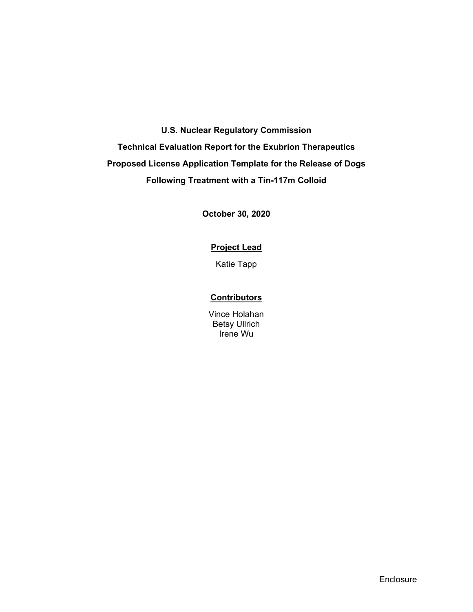# **U.S. Nuclear Regulatory Commission**

**Technical Evaluation Report for the Exubrion Therapeutics Proposed License Application Template for the Release of Dogs Following Treatment with a Tin-117m Colloid** 

**October 30, 2020** 

## **Project Lead**

Katie Tapp

## **Contributors**

Vince Holahan Betsy Ullrich Irene Wu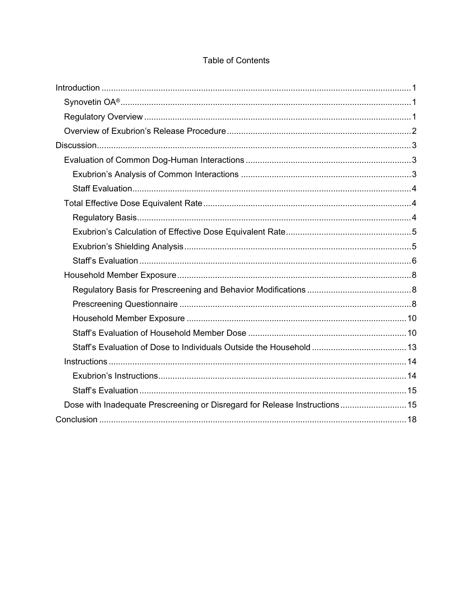| Dose with Inadequate Prescreening or Disregard for Release Instructions 15 |  |
|----------------------------------------------------------------------------|--|
|                                                                            |  |

# **Table of Contents**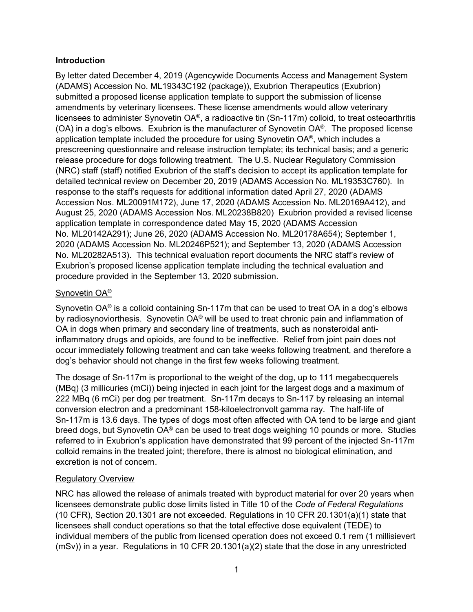## **Introduction**

By letter dated December 4, 2019 (Agencywide Documents Access and Management System (ADAMS) Accession No. ML19343C192 (package)), Exubrion Therapeutics (Exubrion) submitted a proposed license application template to support the submission of license amendments by veterinary licensees. These license amendments would allow veterinary licensees to administer Synovetin OA®, a radioactive tin (Sn-117m) colloid, to treat osteoarthritis (OA) in a dog's elbows. Exubrion is the manufacturer of Synovetin OA®. The proposed license application template included the procedure for using Synovetin OA®, which includes a prescreening questionnaire and release instruction template; its technical basis; and a generic release procedure for dogs following treatment. The U.S. Nuclear Regulatory Commission (NRC) staff (staff) notified Exubrion of the staff's decision to accept its application template for detailed technical review on December 20, 2019 (ADAMS Accession No. ML19353C760). In response to the staff's requests for additional information dated April 27, 2020 (ADAMS Accession Nos. ML20091M172), June 17, 2020 (ADAMS Accession No. ML20169A412), and August 25, 2020 (ADAMS Accession Nos. ML20238B820) Exubrion provided a revised license application template in correspondence dated May 15, 2020 (ADAMS Accession No. ML20142A291); June 26, 2020 (ADAMS Accession No. ML20178A654); September 1, 2020 (ADAMS Accession No. ML20246P521); and September 13, 2020 (ADAMS Accession No. ML20282A513). This technical evaluation report documents the NRC staff's review of Exubrion's proposed license application template including the technical evaluation and procedure provided in the September 13, 2020 submission.

# Synovetin OA®

Synovetin OA® is a colloid containing Sn-117m that can be used to treat OA in a dog's elbows by radiosynoviorthesis. Synovetin OA® will be used to treat chronic pain and inflammation of OA in dogs when primary and secondary line of treatments, such as nonsteroidal antiinflammatory drugs and opioids, are found to be ineffective. Relief from joint pain does not occur immediately following treatment and can take weeks following treatment, and therefore a dog's behavior should not change in the first few weeks following treatment.

The dosage of Sn-117m is proportional to the weight of the dog, up to 111 megabecquerels (MBq) (3 millicuries (mCi)) being injected in each joint for the largest dogs and a maximum of 222 MBq (6 mCi) per dog per treatment. Sn-117m decays to Sn-117 by releasing an internal conversion electron and a predominant 158-kiloelectronvolt gamma ray. The half-life of Sn-117m is 13.6 days. The types of dogs most often affected with OA tend to be large and giant breed dogs, but Synovetin OA® can be used to treat dogs weighing 10 pounds or more. Studies referred to in Exubrion's application have demonstrated that 99 percent of the injected Sn-117m colloid remains in the treated joint; therefore, there is almost no biological elimination, and excretion is not of concern.

# Regulatory Overview

NRC has allowed the release of animals treated with byproduct material for over 20 years when licensees demonstrate public dose limits listed in Title 10 of the *Code of Federal Regulations* (10 CFR), Section 20.1301 are not exceeded. Regulations in 10 CFR 20.1301(a)(1) state that licensees shall conduct operations so that the total effective dose equivalent (TEDE) to individual members of the public from licensed operation does not exceed 0.1 rem (1 millisievert (mSv)) in a year. Regulations in 10 CFR 20.1301(a)(2) state that the dose in any unrestricted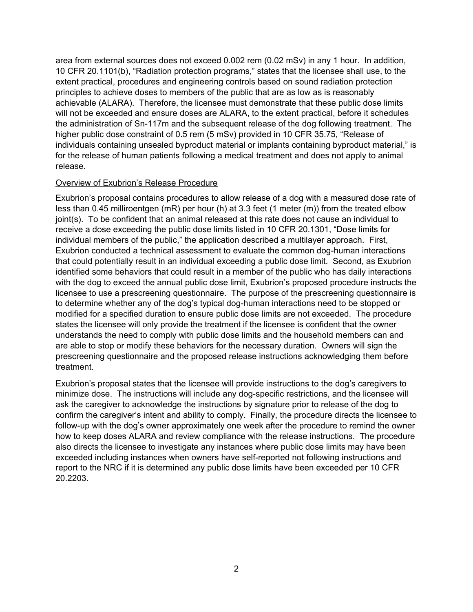area from external sources does not exceed 0.002 rem (0.02 mSv) in any 1 hour. In addition, 10 CFR 20.1101(b), "Radiation protection programs," states that the licensee shall use, to the extent practical, procedures and engineering controls based on sound radiation protection principles to achieve doses to members of the public that are as low as is reasonably achievable (ALARA). Therefore, the licensee must demonstrate that these public dose limits will not be exceeded and ensure doses are ALARA, to the extent practical, before it schedules the administration of Sn-117m and the subsequent release of the dog following treatment. The higher public dose constraint of 0.5 rem (5 mSv) provided in 10 CFR 35.75, "Release of individuals containing unsealed byproduct material or implants containing byproduct material," is for the release of human patients following a medical treatment and does not apply to animal release.

#### Overview of Exubrion's Release Procedure

Exubrion's proposal contains procedures to allow release of a dog with a measured dose rate of less than 0.45 milliroentgen (mR) per hour (h) at 3.3 feet (1 meter (m)) from the treated elbow joint(s). To be confident that an animal released at this rate does not cause an individual to receive a dose exceeding the public dose limits listed in 10 CFR 20.1301, "Dose limits for individual members of the public," the application described a multilayer approach. First, Exubrion conducted a technical assessment to evaluate the common dog-human interactions that could potentially result in an individual exceeding a public dose limit. Second, as Exubrion identified some behaviors that could result in a member of the public who has daily interactions with the dog to exceed the annual public dose limit, Exubrion's proposed procedure instructs the licensee to use a prescreening questionnaire. The purpose of the prescreening questionnaire is to determine whether any of the dog's typical dog-human interactions need to be stopped or modified for a specified duration to ensure public dose limits are not exceeded. The procedure states the licensee will only provide the treatment if the licensee is confident that the owner understands the need to comply with public dose limits and the household members can and are able to stop or modify these behaviors for the necessary duration. Owners will sign the prescreening questionnaire and the proposed release instructions acknowledging them before treatment.

Exubrion's proposal states that the licensee will provide instructions to the dog's caregivers to minimize dose. The instructions will include any dog-specific restrictions, and the licensee will ask the caregiver to acknowledge the instructions by signature prior to release of the dog to confirm the caregiver's intent and ability to comply. Finally, the procedure directs the licensee to follow-up with the dog's owner approximately one week after the procedure to remind the owner how to keep doses ALARA and review compliance with the release instructions. The procedure also directs the licensee to investigate any instances where public dose limits may have been exceeded including instances when owners have self-reported not following instructions and report to the NRC if it is determined any public dose limits have been exceeded per 10 CFR 20.2203.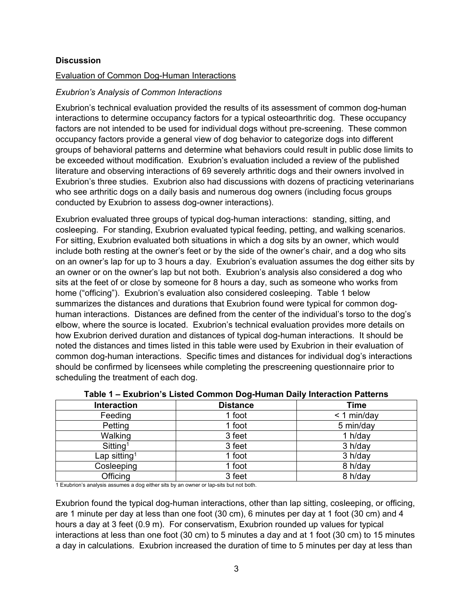### **Discussion**

#### Evaluation of Common Dog-Human Interactions

#### *Exubrion's Analysis of Common Interactions*

Exubrion's technical evaluation provided the results of its assessment of common dog-human interactions to determine occupancy factors for a typical osteoarthritic dog. These occupancy factors are not intended to be used for individual dogs without pre-screening. These common occupancy factors provide a general view of dog behavior to categorize dogs into different groups of behavioral patterns and determine what behaviors could result in public dose limits to be exceeded without modification. Exubrion's evaluation included a review of the published literature and observing interactions of 69 severely arthritic dogs and their owners involved in Exubrion's three studies. Exubrion also had discussions with dozens of practicing veterinarians who see arthritic dogs on a daily basis and numerous dog owners (including focus groups conducted by Exubrion to assess dog-owner interactions).

Exubrion evaluated three groups of typical dog-human interactions: standing, sitting, and cosleeping. For standing, Exubrion evaluated typical feeding, petting, and walking scenarios. For sitting, Exubrion evaluated both situations in which a dog sits by an owner, which would include both resting at the owner's feet or by the side of the owner's chair, and a dog who sits on an owner's lap for up to 3 hours a day. Exubrion's evaluation assumes the dog either sits by an owner or on the owner's lap but not both. Exubrion's analysis also considered a dog who sits at the feet of or close by someone for 8 hours a day, such as someone who works from home ("officing"). Exubrion's evaluation also considered cosleeping. Table 1 below summarizes the distances and durations that Exubrion found were typical for common doghuman interactions. Distances are defined from the center of the individual's torso to the dog's elbow, where the source is located. Exubrion's technical evaluation provides more details on how Exubrion derived duration and distances of typical dog-human interactions. It should be noted the distances and times listed in this table were used by Exubrion in their evaluation of common dog-human interactions. Specific times and distances for individual dog's interactions should be confirmed by licensees while completing the prescreening questionnaire prior to scheduling the treatment of each dog.

| <b>Interaction</b>       | <b>Distance</b> | Time          |
|--------------------------|-----------------|---------------|
| Feeding                  | 1 foot          | $<$ 1 min/day |
| Petting                  | 1 foot          | 5 min/day     |
| Walking                  | 3 feet          | 1 h/day       |
| Sitting <sup>1</sup>     | 3 feet          | 3 h/day       |
| Lap sitting <sup>1</sup> | 1 foot          | 3 h/day       |
| Cosleeping               | 1 foot          | 8 h/day       |
| Officing                 | 3 feet          | 8 h/day       |

1 Exubrion's analysis assumes a dog either sits by an owner or lap-sits but not both.

Exubrion found the typical dog-human interactions, other than lap sitting, cosleeping, or officing, are 1 minute per day at less than one foot (30 cm), 6 minutes per day at 1 foot (30 cm) and 4 hours a day at 3 feet (0.9 m). For conservatism, Exubrion rounded up values for typical interactions at less than one foot (30 cm) to 5 minutes a day and at 1 foot (30 cm) to 15 minutes a day in calculations. Exubrion increased the duration of time to 5 minutes per day at less than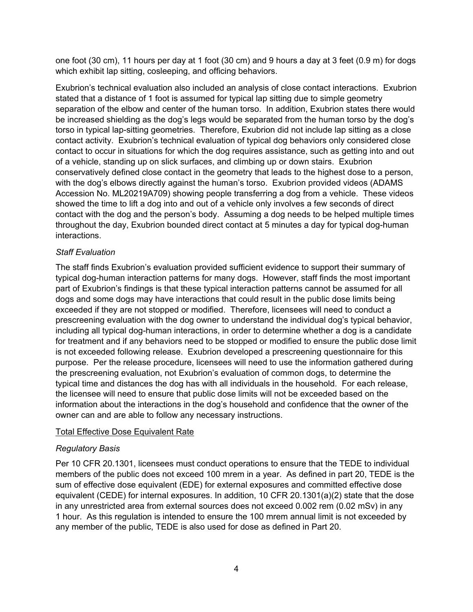one foot (30 cm), 11 hours per day at 1 foot (30 cm) and 9 hours a day at 3 feet (0.9 m) for dogs which exhibit lap sitting, cosleeping, and officing behaviors.

Exubrion's technical evaluation also included an analysis of close contact interactions. Exubrion stated that a distance of 1 foot is assumed for typical lap sitting due to simple geometry separation of the elbow and center of the human torso. In addition, Exubrion states there would be increased shielding as the dog's legs would be separated from the human torso by the dog's torso in typical lap-sitting geometries. Therefore, Exubrion did not include lap sitting as a close contact activity. Exubrion's technical evaluation of typical dog behaviors only considered close contact to occur in situations for which the dog requires assistance, such as getting into and out of a vehicle, standing up on slick surfaces, and climbing up or down stairs. Exubrion conservatively defined close contact in the geometry that leads to the highest dose to a person, with the dog's elbows directly against the human's torso. Exubrion provided videos (ADAMS Accession No. ML20219A709) showing people transferring a dog from a vehicle. These videos showed the time to lift a dog into and out of a vehicle only involves a few seconds of direct contact with the dog and the person's body. Assuming a dog needs to be helped multiple times throughout the day, Exubrion bounded direct contact at 5 minutes a day for typical dog-human interactions.

## *Staff Evaluation*

The staff finds Exubrion's evaluation provided sufficient evidence to support their summary of typical dog-human interaction patterns for many dogs. However, staff finds the most important part of Exubrion's findings is that these typical interaction patterns cannot be assumed for all dogs and some dogs may have interactions that could result in the public dose limits being exceeded if they are not stopped or modified. Therefore, licensees will need to conduct a prescreening evaluation with the dog owner to understand the individual dog's typical behavior, including all typical dog-human interactions, in order to determine whether a dog is a candidate for treatment and if any behaviors need to be stopped or modified to ensure the public dose limit is not exceeded following release. Exubrion developed a prescreening questionnaire for this purpose. Per the release procedure, licensees will need to use the information gathered during the prescreening evaluation, not Exubrion's evaluation of common dogs, to determine the typical time and distances the dog has with all individuals in the household. For each release, the licensee will need to ensure that public dose limits will not be exceeded based on the information about the interactions in the dog's household and confidence that the owner of the owner can and are able to follow any necessary instructions.

#### Total Effective Dose Equivalent Rate

# *Regulatory Basis*

Per 10 CFR 20.1301, licensees must conduct operations to ensure that the TEDE to individual members of the public does not exceed 100 mrem in a year. As defined in part 20, TEDE is the sum of effective dose equivalent (EDE) for external exposures and committed effective dose equivalent (CEDE) for internal exposures. In addition, 10 CFR 20.1301(a)(2) state that the dose in any unrestricted area from external sources does not exceed 0.002 rem (0.02 mSv) in any 1 hour. As this regulation is intended to ensure the 100 mrem annual limit is not exceeded by any member of the public, TEDE is also used for dose as defined in Part 20.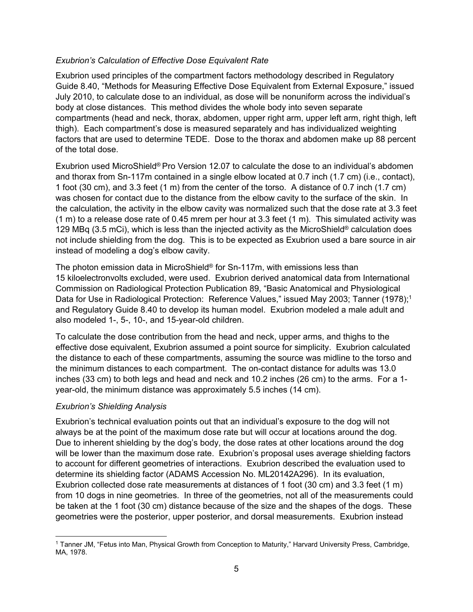#### *Exubrion's Calculation of Effective Dose Equivalent Rate*

Exubrion used principles of the compartment factors methodology described in Regulatory Guide 8.40, "Methods for Measuring Effective Dose Equivalent from External Exposure," issued July 2010, to calculate dose to an individual, as dose will be nonuniform across the individual's body at close distances. This method divides the whole body into seven separate compartments (head and neck, thorax, abdomen, upper right arm, upper left arm, right thigh, left thigh). Each compartment's dose is measured separately and has individualized weighting factors that are used to determine TEDE. Dose to the thorax and abdomen make up 88 percent of the total dose.

Exubrion used MicroShield® Pro Version 12.07 to calculate the dose to an individual's abdomen and thorax from Sn-117m contained in a single elbow located at 0.7 inch (1.7 cm) (i.e., contact), 1 foot (30 cm), and 3.3 feet (1 m) from the center of the torso. A distance of 0.7 inch (1.7 cm) was chosen for contact due to the distance from the elbow cavity to the surface of the skin. In the calculation, the activity in the elbow cavity was normalized such that the dose rate at 3.3 feet  $(1 \text{ m})$  to a release dose rate of 0.45 mrem per hour at 3.3 feet  $(1 \text{ m})$ . This simulated activity was 129 MBq (3.5 mCi), which is less than the injected activity as the MicroShield® calculation does not include shielding from the dog. This is to be expected as Exubrion used a bare source in air instead of modeling a dog's elbow cavity.

The photon emission data in MicroShield® for Sn-117m, with emissions less than 15 kiloelectronvolts excluded, were used. Exubrion derived anatomical data from International Commission on Radiological Protection Publication 89, "Basic Anatomical and Physiological Data for Use in Radiological Protection: Reference Values," issued May 2003; Tanner (1978);<sup>1</sup> and Regulatory Guide 8.40 to develop its human model. Exubrion modeled a male adult and also modeled 1-, 5-, 10-, and 15-year-old children.

To calculate the dose contribution from the head and neck, upper arms, and thighs to the effective dose equivalent, Exubrion assumed a point source for simplicity. Exubrion calculated the distance to each of these compartments, assuming the source was midline to the torso and the minimum distances to each compartment. The on-contact distance for adults was 13.0 inches (33 cm) to both legs and head and neck and 10.2 inches (26 cm) to the arms. For a 1 year-old, the minimum distance was approximately 5.5 inches (14 cm).

#### *Exubrion's Shielding Analysis*

Exubrion's technical evaluation points out that an individual's exposure to the dog will not always be at the point of the maximum dose rate but will occur at locations around the dog. Due to inherent shielding by the dog's body, the dose rates at other locations around the dog will be lower than the maximum dose rate. Exubrion's proposal uses average shielding factors to account for different geometries of interactions. Exubrion described the evaluation used to determine its shielding factor (ADAMS Accession No. ML20142A296). In its evaluation, Exubrion collected dose rate measurements at distances of 1 foot (30 cm) and 3.3 feet (1 m) from 10 dogs in nine geometries. In three of the geometries, not all of the measurements could be taken at the 1 foot (30 cm) distance because of the size and the shapes of the dogs. These geometries were the posterior, upper posterior, and dorsal measurements. Exubrion instead

<sup>1</sup> 1 Tanner JM, "Fetus into Man, Physical Growth from Conception to Maturity," Harvard University Press, Cambridge, MA, 1978.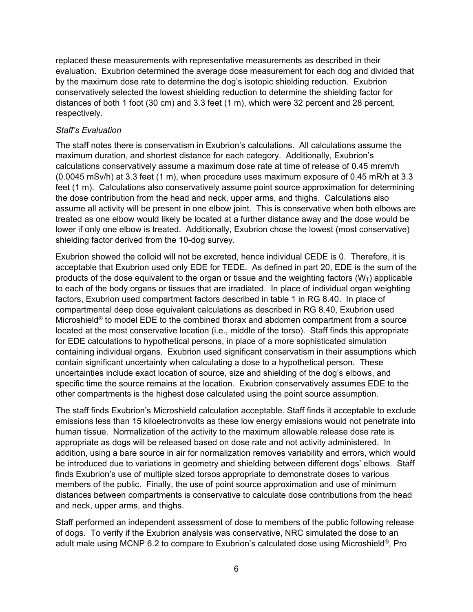replaced these measurements with representative measurements as described in their evaluation. Exubrion determined the average dose measurement for each dog and divided that by the maximum dose rate to determine the dog's isotopic shielding reduction. Exubrion conservatively selected the lowest shielding reduction to determine the shielding factor for distances of both 1 foot (30 cm) and 3.3 feet (1 m), which were 32 percent and 28 percent, respectively.

#### *Staff's Evaluation*

The staff notes there is conservatism in Exubrion's calculations. All calculations assume the maximum duration, and shortest distance for each category. Additionally, Exubrion's calculations conservatively assume a maximum dose rate at time of release of 0.45 mrem/h (0.0045 mSv/h) at 3.3 feet (1 m), when procedure uses maximum exposure of 0.45 mR/h at 3.3 feet (1 m). Calculations also conservatively assume point source approximation for determining the dose contribution from the head and neck, upper arms, and thighs. Calculations also assume all activity will be present in one elbow joint. This is conservative when both elbows are treated as one elbow would likely be located at a further distance away and the dose would be lower if only one elbow is treated. Additionally, Exubrion chose the lowest (most conservative) shielding factor derived from the 10-dog survey.

Exubrion showed the colloid will not be excreted, hence individual CEDE is 0. Therefore, it is acceptable that Exubrion used only EDE for TEDE. As defined in part 20, EDE is the sum of the products of the dose equivalent to the organ or tissue and the weighting factors  $(W_T)$  applicable to each of the body organs or tissues that are irradiated. In place of individual organ weighting factors, Exubrion used compartment factors described in table 1 in RG 8.40. In place of compartmental deep dose equivalent calculations as described in RG 8.40, Exubrion used Microshield® to model EDE to the combined thorax and abdomen compartment from a source located at the most conservative location (i.e., middle of the torso). Staff finds this appropriate for EDE calculations to hypothetical persons, in place of a more sophisticated simulation containing individual organs. Exubrion used significant conservatism in their assumptions which contain significant uncertainty when calculating a dose to a hypothetical person. These uncertainties include exact location of source, size and shielding of the dog's elbows, and specific time the source remains at the location. Exubrion conservatively assumes EDE to the other compartments is the highest dose calculated using the point source assumption.

The staff finds Exubrion's Microshield calculation acceptable. Staff finds it acceptable to exclude emissions less than 15 kiloelectronvolts as these low energy emissions would not penetrate into human tissue. Normalization of the activity to the maximum allowable release dose rate is appropriate as dogs will be released based on dose rate and not activity administered. In addition, using a bare source in air for normalization removes variability and errors, which would be introduced due to variations in geometry and shielding between different dogs' elbows. Staff finds Exubrion's use of multiple sized torsos appropriate to demonstrate doses to various members of the public. Finally, the use of point source approximation and use of minimum distances between compartments is conservative to calculate dose contributions from the head and neck, upper arms, and thighs.

Staff performed an independent assessment of dose to members of the public following release of dogs. To verify if the Exubrion analysis was conservative, NRC simulated the dose to an adult male using MCNP 6.2 to compare to Exubrion's calculated dose using Microshield®, Pro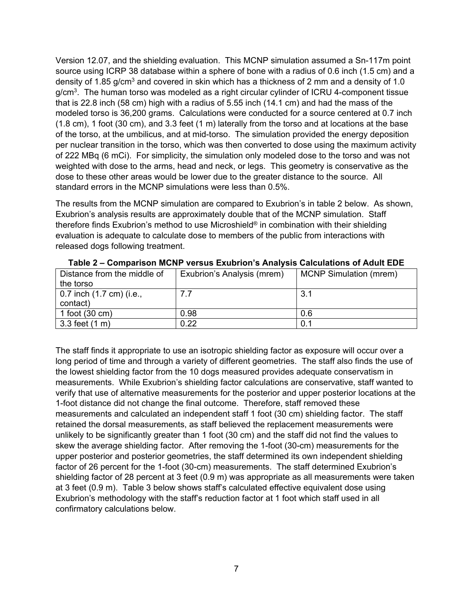Version 12.07, and the shielding evaluation. This MCNP simulation assumed a Sn-117m point source using ICRP 38 database within a sphere of bone with a radius of 0.6 inch (1.5 cm) and a density of 1.85 g/cm<sup>3</sup> and covered in skin which has a thickness of 2 mm and a density of 1.0 g/cm<sup>3</sup>. The human torso was modeled as a right circular cylinder of ICRU 4-component tissue that is 22.8 inch (58 cm) high with a radius of 5.55 inch (14.1 cm) and had the mass of the modeled torso is 36,200 grams. Calculations were conducted for a source centered at 0.7 inch (1.8 cm), 1 foot (30 cm), and 3.3 feet (1 m) laterally from the torso and at locations at the base of the torso, at the umbilicus, and at mid-torso. The simulation provided the energy deposition per nuclear transition in the torso, which was then converted to dose using the maximum activity of 222 MBq (6 mCi). For simplicity, the simulation only modeled dose to the torso and was not weighted with dose to the arms, head and neck, or legs. This geometry is conservative as the dose to these other areas would be lower due to the greater distance to the source. All standard errors in the MCNP simulations were less than 0.5%.

The results from the MCNP simulation are compared to Exubrion's in table 2 below. As shown, Exubrion's analysis results are approximately double that of the MCNP simulation. Staff therefore finds Exubrion's method to use Microshield® in combination with their shielding evaluation is adequate to calculate dose to members of the public from interactions with released dogs following treatment.

| Distance from the middle of<br>the torso     | Exubrion's Analysis (mrem) | <b>MCNP Simulation (mrem)</b> |
|----------------------------------------------|----------------------------|-------------------------------|
| $\vert$ 0.7 inch (1.7 cm) (i.e.,<br>contact) | 7.7                        | 3.1                           |
| 1 foot $(30 \text{ cm})$                     | 0.98                       | 0.6                           |
| $3.3$ feet (1 m)                             | 0.22                       | 0.1                           |

**Table 2 – Comparison MCNP versus Exubrion's Analysis Calculations of Adult EDE** 

The staff finds it appropriate to use an isotropic shielding factor as exposure will occur over a long period of time and through a variety of different geometries. The staff also finds the use of the lowest shielding factor from the 10 dogs measured provides adequate conservatism in measurements. While Exubrion's shielding factor calculations are conservative, staff wanted to verify that use of alternative measurements for the posterior and upper posterior locations at the 1-foot distance did not change the final outcome. Therefore, staff removed these measurements and calculated an independent staff 1 foot (30 cm) shielding factor. The staff retained the dorsal measurements, as staff believed the replacement measurements were unlikely to be significantly greater than 1 foot (30 cm) and the staff did not find the values to skew the average shielding factor. After removing the 1-foot (30-cm) measurements for the upper posterior and posterior geometries, the staff determined its own independent shielding factor of 26 percent for the 1-foot (30-cm) measurements. The staff determined Exubrion's shielding factor of 28 percent at 3 feet (0.9 m) was appropriate as all measurements were taken at 3 feet (0.9 m). Table 3 below shows staff's calculated effective equivalent dose using Exubrion's methodology with the staff's reduction factor at 1 foot which staff used in all confirmatory calculations below.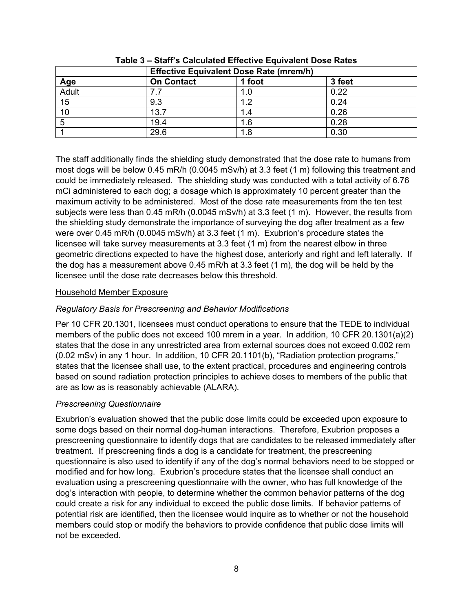|              | <b>Effective Equivalent Dose Rate (mrem/h)</b> |        |        |  |
|--------------|------------------------------------------------|--------|--------|--|
| Age<br>Adult | <b>On Contact</b>                              | 1 foot | 3 feet |  |
|              |                                                | 1.0    | 0.22   |  |
| 15           | 9.3                                            | ィっ     | 0.24   |  |
| 10           | 13.7                                           |        | 0.26   |  |
| 5            | 19.4                                           | 1.6    | 0.28   |  |
|              | 29.6                                           | 1.8    | 0.30   |  |

**Table 3 – Staff's Calculated Effective Equivalent Dose Rates** 

The staff additionally finds the shielding study demonstrated that the dose rate to humans from most dogs will be below 0.45 mR/h (0.0045 mSv/h) at 3.3 feet (1 m) following this treatment and could be immediately released. The shielding study was conducted with a total activity of 6.76 mCi administered to each dog; a dosage which is approximately 10 percent greater than the maximum activity to be administered. Most of the dose rate measurements from the ten test subjects were less than 0.45 mR/h (0.0045 mSv/h) at 3.3 feet (1 m). However, the results from the shielding study demonstrate the importance of surveying the dog after treatment as a few were over 0.45 mR/h (0.0045 mSv/h) at 3.3 feet (1 m). Exubrion's procedure states the licensee will take survey measurements at 3.3 feet (1 m) from the nearest elbow in three geometric directions expected to have the highest dose, anteriorly and right and left laterally. If the dog has a measurement above  $0.45$  mR/h at  $3.3$  feet  $(1 \text{ m})$ , the dog will be held by the licensee until the dose rate decreases below this threshold.

#### Household Member Exposure

#### *Regulatory Basis for Prescreening and Behavior Modifications*

Per 10 CFR 20.1301, licensees must conduct operations to ensure that the TEDE to individual members of the public does not exceed 100 mrem in a year. In addition, 10 CFR 20.1301(a)(2) states that the dose in any unrestricted area from external sources does not exceed 0.002 rem (0.02 mSv) in any 1 hour. In addition, 10 CFR 20.1101(b), "Radiation protection programs," states that the licensee shall use, to the extent practical, procedures and engineering controls based on sound radiation protection principles to achieve doses to members of the public that are as low as is reasonably achievable (ALARA).

#### *Prescreening Questionnaire*

Exubrion's evaluation showed that the public dose limits could be exceeded upon exposure to some dogs based on their normal dog-human interactions. Therefore, Exubrion proposes a prescreening questionnaire to identify dogs that are candidates to be released immediately after treatment. If prescreening finds a dog is a candidate for treatment, the prescreening questionnaire is also used to identify if any of the dog's normal behaviors need to be stopped or modified and for how long. Exubrion's procedure states that the licensee shall conduct an evaluation using a prescreening questionnaire with the owner, who has full knowledge of the dog's interaction with people, to determine whether the common behavior patterns of the dog could create a risk for any individual to exceed the public dose limits. If behavior patterns of potential risk are identified, then the licensee would inquire as to whether or not the household members could stop or modify the behaviors to provide confidence that public dose limits will not be exceeded.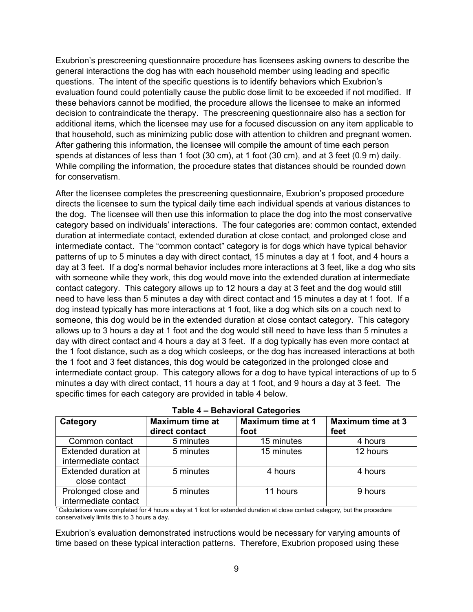Exubrion's prescreening questionnaire procedure has licensees asking owners to describe the general interactions the dog has with each household member using leading and specific questions. The intent of the specific questions is to identify behaviors which Exubrion's evaluation found could potentially cause the public dose limit to be exceeded if not modified. If these behaviors cannot be modified, the procedure allows the licensee to make an informed decision to contraindicate the therapy. The prescreening questionnaire also has a section for additional items, which the licensee may use for a focused discussion on any item applicable to that household, such as minimizing public dose with attention to children and pregnant women. After gathering this information, the licensee will compile the amount of time each person spends at distances of less than 1 foot (30 cm), at 1 foot (30 cm), and at 3 feet (0.9 m) daily. While compiling the information, the procedure states that distances should be rounded down for conservatism.

After the licensee completes the prescreening questionnaire, Exubrion's proposed procedure directs the licensee to sum the typical daily time each individual spends at various distances to the dog. The licensee will then use this information to place the dog into the most conservative category based on individuals' interactions. The four categories are: common contact, extended duration at intermediate contact, extended duration at close contact, and prolonged close and intermediate contact. The "common contact" category is for dogs which have typical behavior patterns of up to 5 minutes a day with direct contact, 15 minutes a day at 1 foot, and 4 hours a day at 3 feet. If a dog's normal behavior includes more interactions at 3 feet, like a dog who sits with someone while they work, this dog would move into the extended duration at intermediate contact category. This category allows up to 12 hours a day at 3 feet and the dog would still need to have less than 5 minutes a day with direct contact and 15 minutes a day at 1 foot. If a dog instead typically has more interactions at 1 foot, like a dog which sits on a couch next to someone, this dog would be in the extended duration at close contact category. This category allows up to 3 hours a day at 1 foot and the dog would still need to have less than 5 minutes a day with direct contact and 4 hours a day at 3 feet. If a dog typically has even more contact at the 1 foot distance, such as a dog which cosleeps, or the dog has increased interactions at both the 1 foot and 3 feet distances, this dog would be categorized in the prolonged close and intermediate contact group. This category allows for a dog to have typical interactions of up to 5 minutes a day with direct contact, 11 hours a day at 1 foot, and 9 hours a day at 3 feet. The specific times for each category are provided in table 4 below.

| Category                                     | <b>Maximum time at</b><br>direct contact | <b>Maximum time at 1</b><br>foot | <b>Maximum time at 3</b><br>feet |  |
|----------------------------------------------|------------------------------------------|----------------------------------|----------------------------------|--|
| Common contact                               | 5 minutes                                | 15 minutes                       | 4 hours                          |  |
| Extended duration at<br>intermediate contact | 5 minutes                                | 15 minutes                       | 12 hours                         |  |
| <b>Extended duration at</b><br>close contact | 5 minutes                                | 4 hours                          | 4 hours                          |  |
| Prolonged close and<br>intermediate contact  | 5 minutes                                | 11 hours                         | 9 hours                          |  |

1 Calculations were completed for 4 hours a day at 1 foot for extended duration at close contact category, but the procedure conservatively limits this to 3 hours a day.

Exubrion's evaluation demonstrated instructions would be necessary for varying amounts of time based on these typical interaction patterns. Therefore, Exubrion proposed using these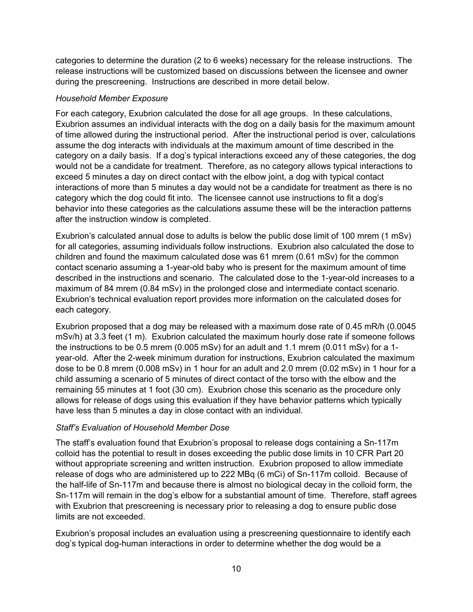categories to determine the duration (2 to 6 weeks) necessary for the release instructions. The release instructions will be customized based on discussions between the licensee and owner during the prescreening. Instructions are described in more detail below.

## *Household Member Exposure*

For each category, Exubrion calculated the dose for all age groups. In these calculations, Exubrion assumes an individual interacts with the dog on a daily basis for the maximum amount of time allowed during the instructional period. After the instructional period is over, calculations assume the dog interacts with individuals at the maximum amount of time described in the category on a daily basis. If a dog's typical interactions exceed any of these categories, the dog would not be a candidate for treatment. Therefore, as no category allows typical interactions to exceed 5 minutes a day on direct contact with the elbow joint, a dog with typical contact interactions of more than 5 minutes a day would not be a candidate for treatment as there is no category which the dog could fit into. The licensee cannot use instructions to fit a dog's behavior into these categories as the calculations assume these will be the interaction patterns after the instruction window is completed.

Exubrion's calculated annual dose to adults is below the public dose limit of 100 mrem (1 mSv) for all categories, assuming individuals follow instructions. Exubrion also calculated the dose to children and found the maximum calculated dose was 61 mrem (0.61 mSv) for the common contact scenario assuming a 1-year-old baby who is present for the maximum amount of time described in the instructions and scenario. The calculated dose to the 1-year-old increases to a maximum of 84 mrem (0.84 mSv) in the prolonged close and intermediate contact scenario. Exubrion's technical evaluation report provides more information on the calculated doses for each category.

Exubrion proposed that a dog may be released with a maximum dose rate of 0.45 mR/h (0.0045 mSv/h) at 3.3 feet (1 m). Exubrion calculated the maximum hourly dose rate if someone follows the instructions to be 0.5 mrem (0.005 mSv) for an adult and 1.1 mrem (0.011 mSv) for a 1 year-old. After the 2-week minimum duration for instructions, Exubrion calculated the maximum dose to be 0.8 mrem (0.008 mSv) in 1 hour for an adult and 2.0 mrem (0.02 mSv) in 1 hour for a child assuming a scenario of 5 minutes of direct contact of the torso with the elbow and the remaining 55 minutes at 1 foot (30 cm). Exubrion chose this scenario as the procedure only allows for release of dogs using this evaluation if they have behavior patterns which typically have less than 5 minutes a day in close contact with an individual.

# *Staff's Evaluation of Household Member Dose*

The staff's evaluation found that Exubrion's proposal to release dogs containing a Sn-117m colloid has the potential to result in doses exceeding the public dose limits in 10 CFR Part 20 without appropriate screening and written instruction. Exubrion proposed to allow immediate release of dogs who are administered up to 222 MBq (6 mCi) of Sn-117m colloid. Because of the half-life of Sn-117m and because there is almost no biological decay in the colloid form, the Sn-117m will remain in the dog's elbow for a substantial amount of time. Therefore, staff agrees with Exubrion that prescreening is necessary prior to releasing a dog to ensure public dose limits are not exceeded.

Exubrion's proposal includes an evaluation using a prescreening questionnaire to identify each dog's typical dog-human interactions in order to determine whether the dog would be a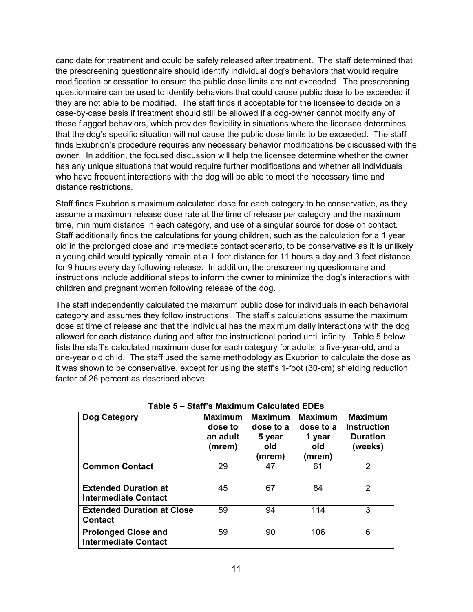candidate for treatment and could be safely released after treatment. The staff determined that the prescreening questionnaire should identify individual dog's behaviors that would require modification or cessation to ensure the public dose limits are not exceeded. The prescreening questionnaire can be used to identify behaviors that could cause public dose to be exceeded if they are not able to be modified. The staff finds it acceptable for the licensee to decide on a case-by-case basis if treatment should still be allowed if a dog-owner cannot modify any of these flagged behaviors, which provides flexibility in situations where the licensee determines that the dog's specific situation will not cause the public dose limits to be exceeded. The staff finds Exubrion's procedure requires any necessary behavior modifications be discussed with the owner. In addition, the focused discussion will help the licensee determine whether the owner has any unique situations that would require further modifications and whether all individuals who have frequent interactions with the dog will be able to meet the necessary time and distance restrictions.

Staff finds Exubrion's maximum calculated dose for each category to be conservative, as they assume a maximum release dose rate at the time of release per category and the maximum time, minimum distance in each category, and use of a singular source for dose on contact. Staff additionally finds the calculations for young children, such as the calculation for a 1 year old in the prolonged close and intermediate contact scenario, to be conservative as it is unlikely a young child would typically remain at a 1 foot distance for 11 hours a day and 3 feet distance for 9 hours every day following release. In addition, the prescreening questionnaire and instructions include additional steps to inform the owner to minimize the dog's interactions with children and pregnant women following release of the dog.

The staff independently calculated the maximum public dose for individuals in each behavioral category and assumes they follow instructions. The staff's calculations assume the maximum dose at time of release and that the individual has the maximum daily interactions with the dog allowed for each distance during and after the instructional period until infinity. Table 5 below lists the staff's calculated maximum dose for each category for adults, a five-year-old, and a one-year old child. The staff used the same methodology as Exubrion to calculate the dose as it was shown to be conservative, except for using the staff's 1-foot (30-cm) shielding reduction factor of 26 percent as described above.

| Dog Category                                               | <b>Maximum</b><br>dose to<br>an adult<br>(mrem) | <b>Maximum</b><br>dose to a<br>5 year<br>old<br>(mrem) | <b>Maximum</b><br>dose to a<br>1 year<br>old<br>(mrem) | <b>Maximum</b><br><b>Instruction</b><br><b>Duration</b><br>(weeks) |
|------------------------------------------------------------|-------------------------------------------------|--------------------------------------------------------|--------------------------------------------------------|--------------------------------------------------------------------|
| <b>Common Contact</b>                                      | 29                                              | 47                                                     | 61                                                     | 2                                                                  |
| <b>Extended Duration at</b><br><b>Intermediate Contact</b> | 45                                              | 67                                                     | 84                                                     | 2                                                                  |
| <b>Extended Duration at Close</b><br><b>Contact</b>        | 59                                              | 94                                                     | 114                                                    | 3                                                                  |
| <b>Prolonged Close and</b><br><b>Intermediate Contact</b>  | 59                                              | 90                                                     | 106                                                    | 6                                                                  |

**Table 5 – Staff's Maximum Calculated EDEs**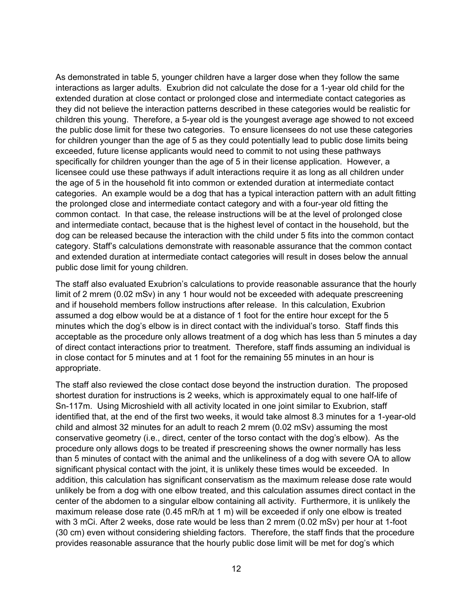As demonstrated in table 5, younger children have a larger dose when they follow the same interactions as larger adults. Exubrion did not calculate the dose for a 1-year old child for the extended duration at close contact or prolonged close and intermediate contact categories as they did not believe the interaction patterns described in these categories would be realistic for children this young. Therefore, a 5-year old is the youngest average age showed to not exceed the public dose limit for these two categories. To ensure licensees do not use these categories for children younger than the age of 5 as they could potentially lead to public dose limits being exceeded, future license applicants would need to commit to not using these pathways specifically for children younger than the age of 5 in their license application. However, a licensee could use these pathways if adult interactions require it as long as all children under the age of 5 in the household fit into common or extended duration at intermediate contact categories. An example would be a dog that has a typical interaction pattern with an adult fitting the prolonged close and intermediate contact category and with a four-year old fitting the common contact. In that case, the release instructions will be at the level of prolonged close and intermediate contact, because that is the highest level of contact in the household, but the dog can be released because the interaction with the child under 5 fits into the common contact category. Staff's calculations demonstrate with reasonable assurance that the common contact and extended duration at intermediate contact categories will result in doses below the annual public dose limit for young children.

The staff also evaluated Exubrion's calculations to provide reasonable assurance that the hourly limit of 2 mrem (0.02 mSv) in any 1 hour would not be exceeded with adequate prescreening and if household members follow instructions after release. In this calculation, Exubrion assumed a dog elbow would be at a distance of 1 foot for the entire hour except for the 5 minutes which the dog's elbow is in direct contact with the individual's torso. Staff finds this acceptable as the procedure only allows treatment of a dog which has less than 5 minutes a day of direct contact interactions prior to treatment. Therefore, staff finds assuming an individual is in close contact for 5 minutes and at 1 foot for the remaining 55 minutes in an hour is appropriate.

The staff also reviewed the close contact dose beyond the instruction duration. The proposed shortest duration for instructions is 2 weeks, which is approximately equal to one half-life of Sn-117m. Using Microshield with all activity located in one joint similar to Exubrion, staff identified that, at the end of the first two weeks, it would take almost 8.3 minutes for a 1-year-old child and almost 32 minutes for an adult to reach 2 mrem (0.02 mSv) assuming the most conservative geometry (i.e., direct, center of the torso contact with the dog's elbow). As the procedure only allows dogs to be treated if prescreening shows the owner normally has less than 5 minutes of contact with the animal and the unlikeliness of a dog with severe OA to allow significant physical contact with the joint, it is unlikely these times would be exceeded. In addition, this calculation has significant conservatism as the maximum release dose rate would unlikely be from a dog with one elbow treated, and this calculation assumes direct contact in the center of the abdomen to a singular elbow containing all activity. Furthermore, it is unlikely the maximum release dose rate (0.45 mR/h at 1 m) will be exceeded if only one elbow is treated with 3 mCi. After 2 weeks, dose rate would be less than 2 mrem (0.02 mSv) per hour at 1-foot (30 cm) even without considering shielding factors. Therefore, the staff finds that the procedure provides reasonable assurance that the hourly public dose limit will be met for dog's which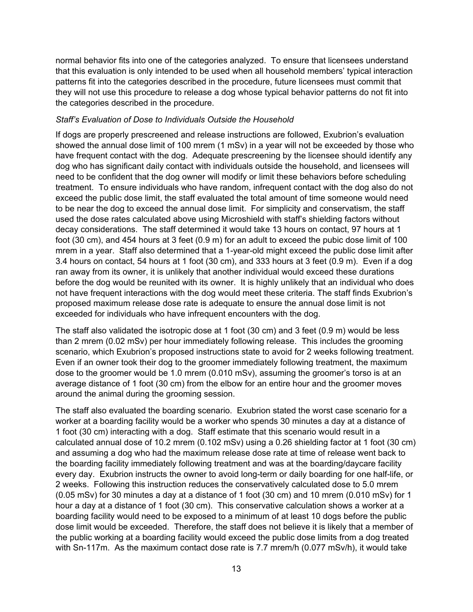normal behavior fits into one of the categories analyzed. To ensure that licensees understand that this evaluation is only intended to be used when all household members' typical interaction patterns fit into the categories described in the procedure, future licensees must commit that they will not use this procedure to release a dog whose typical behavior patterns do not fit into the categories described in the procedure.

#### *Staff's Evaluation of Dose to Individuals Outside the Household*

If dogs are properly prescreened and release instructions are followed, Exubrion's evaluation showed the annual dose limit of 100 mrem (1 mSv) in a year will not be exceeded by those who have frequent contact with the dog. Adequate prescreening by the licensee should identify any dog who has significant daily contact with individuals outside the household, and licensees will need to be confident that the dog owner will modify or limit these behaviors before scheduling treatment. To ensure individuals who have random, infrequent contact with the dog also do not exceed the public dose limit, the staff evaluated the total amount of time someone would need to be near the dog to exceed the annual dose limit. For simplicity and conservatism, the staff used the dose rates calculated above using Microshield with staff's shielding factors without decay considerations. The staff determined it would take 13 hours on contact, 97 hours at 1 foot (30 cm), and 454 hours at 3 feet (0.9 m) for an adult to exceed the pubic dose limit of 100 mrem in a year. Staff also determined that a 1-year-old might exceed the public dose limit after 3.4 hours on contact, 54 hours at 1 foot (30 cm), and 333 hours at 3 feet (0.9 m). Even if a dog ran away from its owner, it is unlikely that another individual would exceed these durations before the dog would be reunited with its owner. It is highly unlikely that an individual who does not have frequent interactions with the dog would meet these criteria. The staff finds Exubrion's proposed maximum release dose rate is adequate to ensure the annual dose limit is not exceeded for individuals who have infrequent encounters with the dog.

The staff also validated the isotropic dose at 1 foot (30 cm) and 3 feet (0.9 m) would be less than 2 mrem (0.02 mSv) per hour immediately following release. This includes the grooming scenario, which Exubrion's proposed instructions state to avoid for 2 weeks following treatment. Even if an owner took their dog to the groomer immediately following treatment, the maximum dose to the groomer would be 1.0 mrem (0.010 mSv), assuming the groomer's torso is at an average distance of 1 foot (30 cm) from the elbow for an entire hour and the groomer moves around the animal during the grooming session.

The staff also evaluated the boarding scenario. Exubrion stated the worst case scenario for a worker at a boarding facility would be a worker who spends 30 minutes a day at a distance of 1 foot (30 cm) interacting with a dog. Staff estimate that this scenario would result in a calculated annual dose of 10.2 mrem (0.102 mSv) using a 0.26 shielding factor at 1 foot (30 cm) and assuming a dog who had the maximum release dose rate at time of release went back to the boarding facility immediately following treatment and was at the boarding/daycare facility every day. Exubrion instructs the owner to avoid long-term or daily boarding for one half-life, or 2 weeks. Following this instruction reduces the conservatively calculated dose to 5.0 mrem (0.05 mSv) for 30 minutes a day at a distance of 1 foot (30 cm) and 10 mrem (0.010 mSv) for 1 hour a day at a distance of 1 foot (30 cm). This conservative calculation shows a worker at a boarding facility would need to be exposed to a minimum of at least 10 dogs before the public dose limit would be exceeded. Therefore, the staff does not believe it is likely that a member of the public working at a boarding facility would exceed the public dose limits from a dog treated with Sn-117m. As the maximum contact dose rate is 7.7 mrem/h (0.077 mSv/h), it would take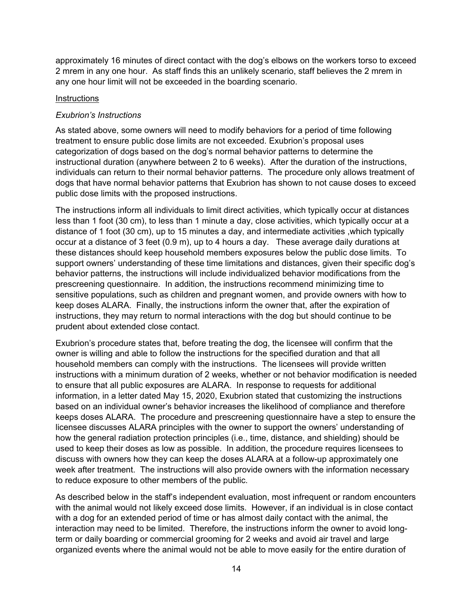approximately 16 minutes of direct contact with the dog's elbows on the workers torso to exceed 2 mrem in any one hour. As staff finds this an unlikely scenario, staff believes the 2 mrem in any one hour limit will not be exceeded in the boarding scenario.

## **Instructions**

## *Exubrion's Instructions*

As stated above, some owners will need to modify behaviors for a period of time following treatment to ensure public dose limits are not exceeded. Exubrion's proposal uses categorization of dogs based on the dog's normal behavior patterns to determine the instructional duration (anywhere between 2 to 6 weeks). After the duration of the instructions, individuals can return to their normal behavior patterns. The procedure only allows treatment of dogs that have normal behavior patterns that Exubrion has shown to not cause doses to exceed public dose limits with the proposed instructions.

The instructions inform all individuals to limit direct activities, which typically occur at distances less than 1 foot (30 cm), to less than 1 minute a day, close activities, which typically occur at a distance of 1 foot (30 cm), up to 15 minutes a day, and intermediate activities ,which typically occur at a distance of 3 feet (0.9 m), up to 4 hours a day. These average daily durations at these distances should keep household members exposures below the public dose limits. To support owners' understanding of these time limitations and distances, given their specific dog's behavior patterns, the instructions will include individualized behavior modifications from the prescreening questionnaire. In addition, the instructions recommend minimizing time to sensitive populations, such as children and pregnant women, and provide owners with how to keep doses ALARA. Finally, the instructions inform the owner that, after the expiration of instructions, they may return to normal interactions with the dog but should continue to be prudent about extended close contact.

Exubrion's procedure states that, before treating the dog, the licensee will confirm that the owner is willing and able to follow the instructions for the specified duration and that all household members can comply with the instructions. The licensees will provide written instructions with a minimum duration of 2 weeks, whether or not behavior modification is needed to ensure that all public exposures are ALARA. In response to requests for additional information, in a letter dated May 15, 2020, Exubrion stated that customizing the instructions based on an individual owner's behavior increases the likelihood of compliance and therefore keeps doses ALARA. The procedure and prescreening questionnaire have a step to ensure the licensee discusses ALARA principles with the owner to support the owners' understanding of how the general radiation protection principles (i.e., time, distance, and shielding) should be used to keep their doses as low as possible. In addition, the procedure requires licensees to discuss with owners how they can keep the doses ALARA at a follow-up approximately one week after treatment. The instructions will also provide owners with the information necessary to reduce exposure to other members of the public.

As described below in the staff's independent evaluation, most infrequent or random encounters with the animal would not likely exceed dose limits. However, if an individual is in close contact with a dog for an extended period of time or has almost daily contact with the animal, the interaction may need to be limited. Therefore, the instructions inform the owner to avoid longterm or daily boarding or commercial grooming for 2 weeks and avoid air travel and large organized events where the animal would not be able to move easily for the entire duration of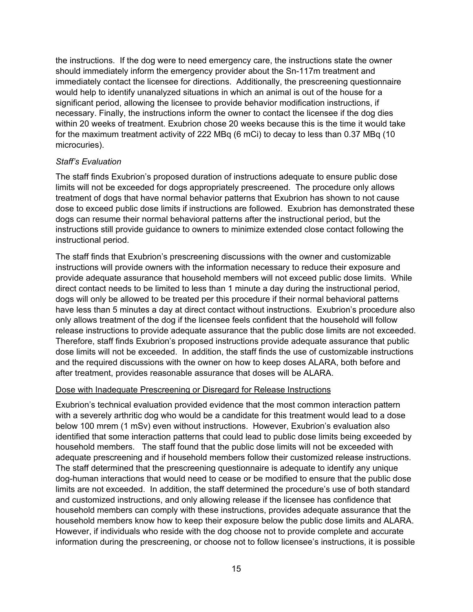the instructions. If the dog were to need emergency care, the instructions state the owner should immediately inform the emergency provider about the Sn-117m treatment and immediately contact the licensee for directions. Additionally, the prescreening questionnaire would help to identify unanalyzed situations in which an animal is out of the house for a significant period, allowing the licensee to provide behavior modification instructions, if necessary. Finally, the instructions inform the owner to contact the licensee if the dog dies within 20 weeks of treatment. Exubrion chose 20 weeks because this is the time it would take for the maximum treatment activity of 222 MBq (6 mCi) to decay to less than 0.37 MBq (10 microcuries).

#### *Staff's Evaluation*

The staff finds Exubrion's proposed duration of instructions adequate to ensure public dose limits will not be exceeded for dogs appropriately prescreened. The procedure only allows treatment of dogs that have normal behavior patterns that Exubrion has shown to not cause dose to exceed public dose limits if instructions are followed. Exubrion has demonstrated these dogs can resume their normal behavioral patterns after the instructional period, but the instructions still provide guidance to owners to minimize extended close contact following the instructional period.

The staff finds that Exubrion's prescreening discussions with the owner and customizable instructions will provide owners with the information necessary to reduce their exposure and provide adequate assurance that household members will not exceed public dose limits. While direct contact needs to be limited to less than 1 minute a day during the instructional period, dogs will only be allowed to be treated per this procedure if their normal behavioral patterns have less than 5 minutes a day at direct contact without instructions. Exubrion's procedure also only allows treatment of the dog if the licensee feels confident that the household will follow release instructions to provide adequate assurance that the public dose limits are not exceeded. Therefore, staff finds Exubrion's proposed instructions provide adequate assurance that public dose limits will not be exceeded. In addition, the staff finds the use of customizable instructions and the required discussions with the owner on how to keep doses ALARA, both before and after treatment, provides reasonable assurance that doses will be ALARA.

#### Dose with Inadequate Prescreening or Disregard for Release Instructions

Exubrion's technical evaluation provided evidence that the most common interaction pattern with a severely arthritic dog who would be a candidate for this treatment would lead to a dose below 100 mrem (1 mSv) even without instructions. However, Exubrion's evaluation also identified that some interaction patterns that could lead to public dose limits being exceeded by household members. The staff found that the public dose limits will not be exceeded with adequate prescreening and if household members follow their customized release instructions. The staff determined that the prescreening questionnaire is adequate to identify any unique dog-human interactions that would need to cease or be modified to ensure that the public dose limits are not exceeded. In addition, the staff determined the procedure's use of both standard and customized instructions, and only allowing release if the licensee has confidence that household members can comply with these instructions, provides adequate assurance that the household members know how to keep their exposure below the public dose limits and ALARA. However, if individuals who reside with the dog choose not to provide complete and accurate information during the prescreening, or choose not to follow licensee's instructions, it is possible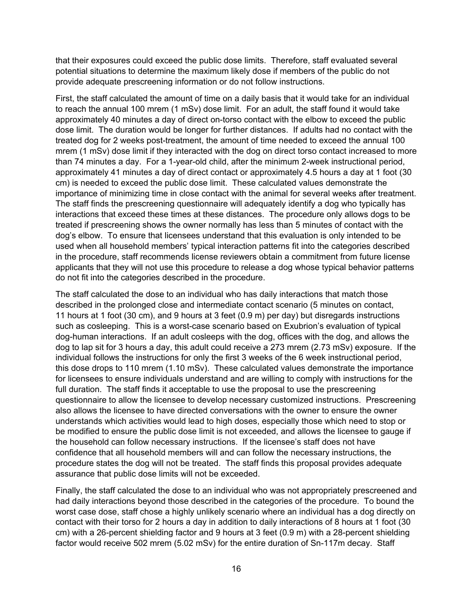that their exposures could exceed the public dose limits. Therefore, staff evaluated several potential situations to determine the maximum likely dose if members of the public do not provide adequate prescreening information or do not follow instructions.

First, the staff calculated the amount of time on a daily basis that it would take for an individual to reach the annual 100 mrem (1 mSv) dose limit. For an adult, the staff found it would take approximately 40 minutes a day of direct on-torso contact with the elbow to exceed the public dose limit. The duration would be longer for further distances. If adults had no contact with the treated dog for 2 weeks post-treatment, the amount of time needed to exceed the annual 100 mrem (1 mSv) dose limit if they interacted with the dog on direct torso contact increased to more than 74 minutes a day. For a 1-year-old child, after the minimum 2-week instructional period, approximately 41 minutes a day of direct contact or approximately 4.5 hours a day at 1 foot (30 cm) is needed to exceed the public dose limit. These calculated values demonstrate the importance of minimizing time in close contact with the animal for several weeks after treatment. The staff finds the prescreening questionnaire will adequately identify a dog who typically has interactions that exceed these times at these distances. The procedure only allows dogs to be treated if prescreening shows the owner normally has less than 5 minutes of contact with the dog's elbow. To ensure that licensees understand that this evaluation is only intended to be used when all household members' typical interaction patterns fit into the categories described in the procedure, staff recommends license reviewers obtain a commitment from future license applicants that they will not use this procedure to release a dog whose typical behavior patterns do not fit into the categories described in the procedure.

The staff calculated the dose to an individual who has daily interactions that match those described in the prolonged close and intermediate contact scenario (5 minutes on contact, 11 hours at 1 foot (30 cm), and 9 hours at 3 feet (0.9 m) per day) but disregards instructions such as cosleeping. This is a worst-case scenario based on Exubrion's evaluation of typical dog-human interactions. If an adult cosleeps with the dog, offices with the dog, and allows the dog to lap sit for 3 hours a day, this adult could receive a 273 mrem (2.73 mSv) exposure. If the individual follows the instructions for only the first 3 weeks of the 6 week instructional period, this dose drops to 110 mrem (1.10 mSv). These calculated values demonstrate the importance for licensees to ensure individuals understand and are willing to comply with instructions for the full duration. The staff finds it acceptable to use the proposal to use the prescreening questionnaire to allow the licensee to develop necessary customized instructions. Prescreening also allows the licensee to have directed conversations with the owner to ensure the owner understands which activities would lead to high doses, especially those which need to stop or be modified to ensure the public dose limit is not exceeded, and allows the licensee to gauge if the household can follow necessary instructions. If the licensee's staff does not have confidence that all household members will and can follow the necessary instructions, the procedure states the dog will not be treated. The staff finds this proposal provides adequate assurance that public dose limits will not be exceeded.

Finally, the staff calculated the dose to an individual who was not appropriately prescreened and had daily interactions beyond those described in the categories of the procedure. To bound the worst case dose, staff chose a highly unlikely scenario where an individual has a dog directly on contact with their torso for 2 hours a day in addition to daily interactions of 8 hours at 1 foot (30 cm) with a 26-percent shielding factor and 9 hours at 3 feet (0.9 m) with a 28-percent shielding factor would receive 502 mrem (5.02 mSv) for the entire duration of Sn-117m decay. Staff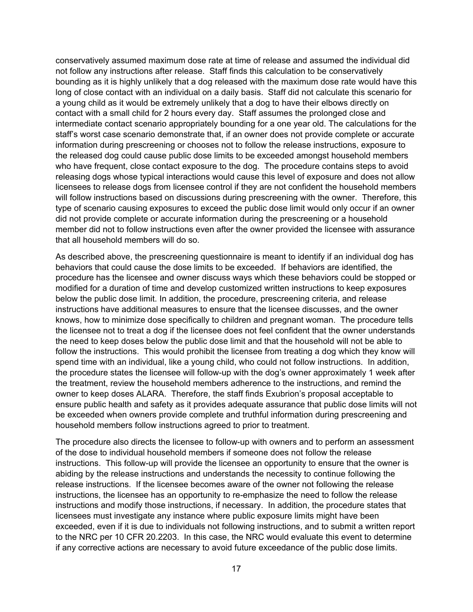conservatively assumed maximum dose rate at time of release and assumed the individual did not follow any instructions after release. Staff finds this calculation to be conservatively bounding as it is highly unlikely that a dog released with the maximum dose rate would have this long of close contact with an individual on a daily basis. Staff did not calculate this scenario for a young child as it would be extremely unlikely that a dog to have their elbows directly on contact with a small child for 2 hours every day. Staff assumes the prolonged close and intermediate contact scenario appropriately bounding for a one year old. The calculations for the staff's worst case scenario demonstrate that, if an owner does not provide complete or accurate information during prescreening or chooses not to follow the release instructions, exposure to the released dog could cause public dose limits to be exceeded amongst household members who have frequent, close contact exposure to the dog. The procedure contains steps to avoid releasing dogs whose typical interactions would cause this level of exposure and does not allow licensees to release dogs from licensee control if they are not confident the household members will follow instructions based on discussions during prescreening with the owner. Therefore, this type of scenario causing exposures to exceed the public dose limit would only occur if an owner did not provide complete or accurate information during the prescreening or a household member did not to follow instructions even after the owner provided the licensee with assurance that all household members will do so.

As described above, the prescreening questionnaire is meant to identify if an individual dog has behaviors that could cause the dose limits to be exceeded. If behaviors are identified, the procedure has the licensee and owner discuss ways which these behaviors could be stopped or modified for a duration of time and develop customized written instructions to keep exposures below the public dose limit. In addition, the procedure, prescreening criteria, and release instructions have additional measures to ensure that the licensee discusses, and the owner knows, how to minimize dose specifically to children and pregnant woman. The procedure tells the licensee not to treat a dog if the licensee does not feel confident that the owner understands the need to keep doses below the public dose limit and that the household will not be able to follow the instructions. This would prohibit the licensee from treating a dog which they know will spend time with an individual, like a young child, who could not follow instructions. In addition, the procedure states the licensee will follow-up with the dog's owner approximately 1 week after the treatment, review the household members adherence to the instructions, and remind the owner to keep doses ALARA. Therefore, the staff finds Exubrion's proposal acceptable to ensure public health and safety as it provides adequate assurance that public dose limits will not be exceeded when owners provide complete and truthful information during prescreening and household members follow instructions agreed to prior to treatment.

The procedure also directs the licensee to follow-up with owners and to perform an assessment of the dose to individual household members if someone does not follow the release instructions. This follow-up will provide the licensee an opportunity to ensure that the owner is abiding by the release instructions and understands the necessity to continue following the release instructions. If the licensee becomes aware of the owner not following the release instructions, the licensee has an opportunity to re-emphasize the need to follow the release instructions and modify those instructions, if necessary. In addition, the procedure states that licensees must investigate any instance where public exposure limits might have been exceeded, even if it is due to individuals not following instructions, and to submit a written report to the NRC per 10 CFR 20.2203. In this case, the NRC would evaluate this event to determine if any corrective actions are necessary to avoid future exceedance of the public dose limits.